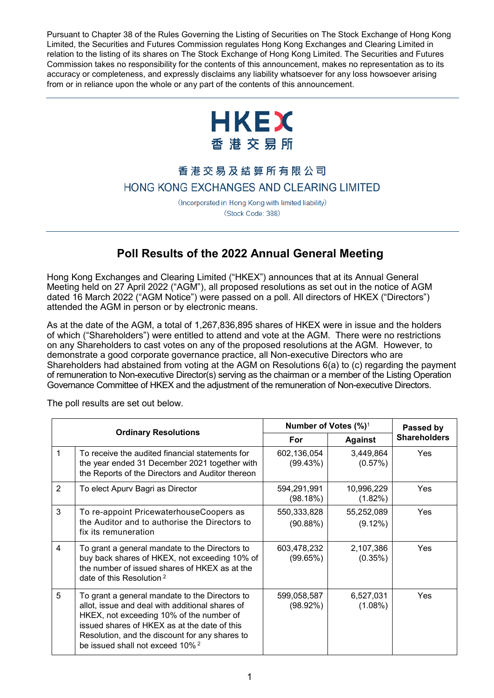Pursuant to Chapter 38 of the Rules Governing the Listing of Securities on The Stock Exchange of Hong Kong Limited, the Securities and Futures Commission regulates Hong Kong Exchanges and Clearing Limited in relation to the listing of its shares on The Stock Exchange of Hong Kong Limited. The Securities and Futures Commission takes no responsibility for the contents of this announcement, makes no representation as to its accuracy or completeness, and expressly disclaims any liability whatsoever for any loss howsoever arising from or in reliance upon the whole or any part of the contents of this announcement.



## 香港交易及結算所有限公司 HONG KONG EXCHANGES AND CLEARING LIMITED

(Incorporated in Hong Kong with limited liability) (Stock Code: 388)

## **Poll Results of the 2022 Annual General Meeting**

Hong Kong Exchanges and Clearing Limited ("HKEX") announces that at its Annual General Meeting held on 27 April 2022 ("AGM"), all proposed resolutions as set out in the notice of AGM dated 16 March 2022 ("AGM Notice") were passed on a poll. All directors of HKEX ("Directors") attended the AGM in person or by electronic means.

As at the date of the AGM, a total of 1,267,836,895 shares of HKEX were in issue and the holders of which ("Shareholders") were entitled to attend and vote at the AGM. There were no restrictions on any Shareholders to cast votes on any of the proposed resolutions at the AGM. However, to demonstrate a good corporate governance practice, all Non-executive Directors who are Shareholders had abstained from voting at the AGM on Resolutions 6(a) to (c) regarding the payment of remuneration to Non-executive Director(s) serving as the chairman or a member of the Listing Operation Governance Committee of HKEX and the adjustment of the remuneration of Non-executive Directors.

| <b>Ordinary Resolutions</b> |                                                                                                                                                                                                                                                                                                | Number of Votes $(\%)^1$   |                          | Passed by           |
|-----------------------------|------------------------------------------------------------------------------------------------------------------------------------------------------------------------------------------------------------------------------------------------------------------------------------------------|----------------------------|--------------------------|---------------------|
|                             |                                                                                                                                                                                                                                                                                                | For                        | <b>Against</b>           | <b>Shareholders</b> |
| 1                           | To receive the audited financial statements for<br>the year ended 31 December 2021 together with<br>the Reports of the Directors and Auditor thereon                                                                                                                                           | 602,136,054<br>(99.43%)    | 3,449,864<br>(0.57%)     | Yes                 |
| $\overline{2}$              | To elect Apurv Bagri as Director                                                                                                                                                                                                                                                               | 594,291,991<br>(98.18%)    | 10,996,229<br>(1.82%)    | Yes                 |
| 3                           | To re-appoint PricewaterhouseCoopers as<br>the Auditor and to authorise the Directors to<br>fix its remuneration                                                                                                                                                                               | 550,333,828<br>(90.88%)    | 55,252,089<br>$(9.12\%)$ | Yes                 |
| $\overline{4}$              | To grant a general mandate to the Directors to<br>buy back shares of HKEX, not exceeding 10% of<br>the number of issued shares of HKEX as at the<br>date of this Resolution <sup>2</sup>                                                                                                       | 603,478,232<br>(99.65%)    | 2,107,386<br>(0.35%)     | <b>Yes</b>          |
| 5                           | To grant a general mandate to the Directors to<br>allot, issue and deal with additional shares of<br>HKEX, not exceeding 10% of the number of<br>issued shares of HKEX as at the date of this<br>Resolution, and the discount for any shares to<br>be issued shall not exceed 10% <sup>2</sup> | 599,058,587<br>$(98.92\%)$ | 6,527,031<br>$(1.08\%)$  | Yes                 |

The poll results are set out below.